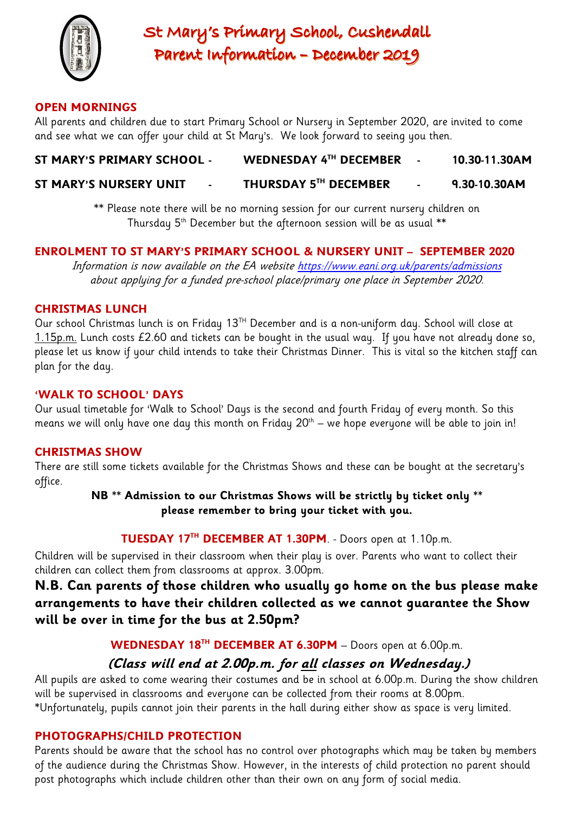

St Mary's Primary School, Cushendall Parent Information - December 2019

## **OPEN MORNINGS**

All parents and children due to start Primary School or Nursery in September 2020, are invited to come and see what we can offer your child at St Mary's. We look forward to seeing you then.

## **ST MARY'S PRIMARY SCHOOL - WEDNESDAY 4TH DECEMBER - 10.30-11.30AM**

#### **ST MARY'S NURSERY UNIT TH DECEMBER - 9.30-10.30AM**

\*\* Please note there will be no morning session for our current nursery children on Thursday  $5<sup>th</sup>$  December but the afternoon session will be as usual  $**$ 

## **ENROLMENT TO ST MARY'S PRIMARY SCHOOL & NURSERY UNIT – SEPTEMBER 2020**

Information is now available on the EA website <https://www.eani.org.uk/parents/admissions> about applying for a funded pre-school place/primary one place in September 2020.

## **CHRISTMAS LUNCH**

Our school Christmas lunch is on Friday  $13^{TH}$  December and is a non-uniform day. School will close at 1.15p.m. Lunch costs  $£2.60$  and tickets can be bought in the usual way. If you have not already done so, please let us know if your child intends to take their Christmas Dinner. This is vital so the kitchen staff can plan for the day.

## **'WALK TO SCHOOL' DAYS**

Our usual timetable for 'Walk to School' Days is the second and fourth Friday of every month. So this means we will only have one day this month on Friday  $20^{\text{th}}$  — we hope everyone will be able to join in!

## **CHRISTMAS SHOW**

There are still some tickets available for the Christmas Shows and these can be bought at the secretary's office.

> **NB \*\* Admission to our Christmas Shows will be strictly by ticket only \*\* please remember to bring your ticket with you.**

## **TUESDAY 17TH DECEMBER AT 1.30PM**. - Doors open at 1.10p.m.

Children will be supervised in their classroom when their play is over. Parents who want to collect their children can collect them from classrooms at approx. 3.00pm.

**N.B. Can parents of those children who usually go home on the bus please make arrangements to have their children collected as we cannot guarantee the Show will be over in time for the bus at 2.50pm?**

**WEDNESDAY 18TH DECEMBER AT 6.30PM** – Doors open at 6.00p.m.

## **(Class will end at 2.00p.m. for all classes on Wednesday.)**

All pupils are asked to come wearing their costumes and be in school at 6.00p.m. During the show children will be supervised in classrooms and everyone can be collected from their rooms at 8.00pm. \*Unfortunately, pupils cannot join their parents in the hall during either show as space is very limited.

## **PHOTOGRAPHS/CHILD PROTECTION**

Parents should be aware that the school has no control over photographs which may be taken by members of the audience during the Christmas Show. However, in the interests of child protection no parent should post photographs which include children other than their own on any form of social media.